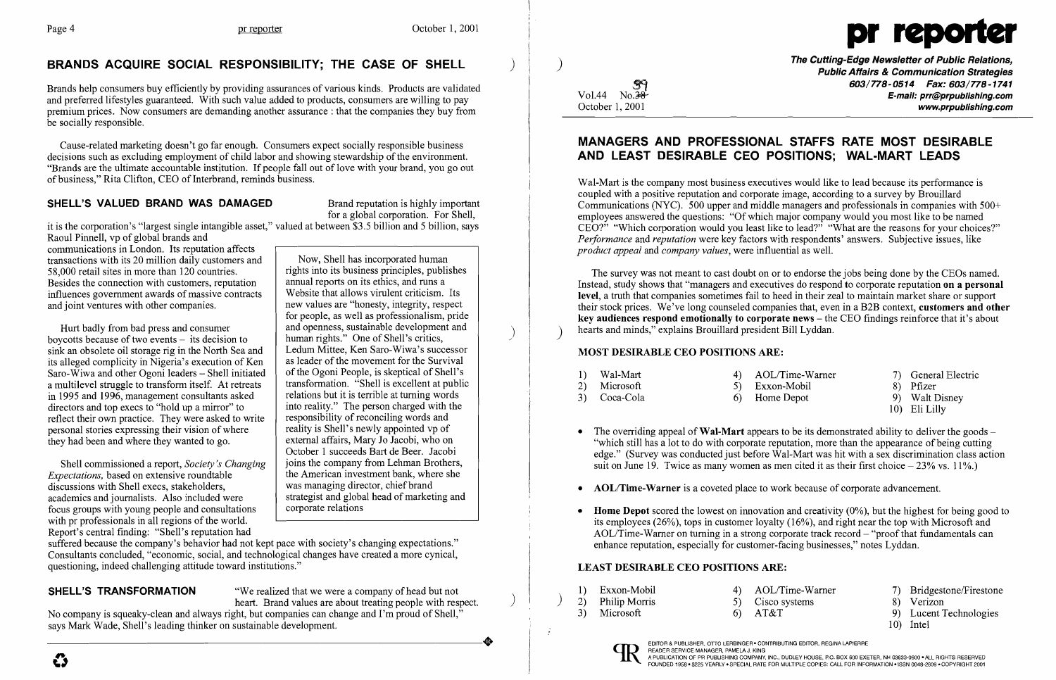## BRANDS ACQUIRE SOCIAL RESPONSIBILITY; THE CASE OF SHELL



Cause-related marketing doesn't go far enough. Consumers expect socially responsible business decisions such as excluding employment of child labor and showing stewardship of the environment. "Brands are the ultimate accountable institution. If people fall out of love with your brand, you go out of business," Rita Clifton, CEO of Interbrand, reminds business.

### SHELL'S VALUED BRAND WAS DAMAGED Brand reputation is highly important

Brands help consumers buy efficiently by providing assurances of various kinds. Products are validated and preferred lifestyles guaranteed. With such value added to products, consumers are willing to pay premium prices. Now consumers are demanding another assurance: that the companies they buy from be socially responsible.

Raoul Pinnell, vp of global brands and communications in London. Its reputation affects transactions with its 20 million daily customers and<br>58.000 retail sites in more than 120 countries.<br>rights into its business principles, publishes 58,000 retail sites in more than 120 countries.<br>Besides the connection with customers, reputation annual reports on its ethics, and runs a Besides the connection with customers, reputation annual reports on its ethics, and runs a<br>influences government awards of massive contracts Website that allows virulent criticism. Its influences government awards of massive contracts Website that allows virulent criticism. Its<br>and joint ventures with other companies. and joint ventures with other companies.

for people, as well as professionalism, pride and openness, sustainable development and human rights." One of Shell's critics,<br>Ledum Mittee, Ken Saro-Wiwa's successor October 1 succeeds Bart de Beer. Jacobi<br>joins the company from Lehman Brothers,

Hurt badly from bad press and consumer boycotts because of two events  $-$  its decision to sink an obsolete oil storage rig in the North Sea and Ledum Mittee, Ken Saro-Wiwa's successor<br>its alleged complicity in Nigeria's execution of Ken as leader of the movement for the Survival its alleged complicity in Nigeria's execution of Ken as leader of the movement for the Survival<br>Saro-Wiwa and other Ogoni leaders – Shell initiated of the Ogoni People, is skeptical of Shell's Saro-Wiwa and other Ogoni leaders – Shell initiated of the Ogoni People, is skeptical of Shell's a multilevel struggle to transform itself. At retreats transformation. "Shell is excellent at public a multilevel struggle to transform itself. At retreats transformation. "Shell is excellent at publ<br>in 1995 and 1996, management consultants asked relations but it is terrible at turning words in 1995 and 1996, management consultants asked relations but it is terrible at turning words<br>directors and top execs to "hold up a mirror" to into reality." The person charged with the directors and top execs to "hold up a mirror" to into reality." The person charged with the reflect their own practice. They were asked to write responsibility of reconciling words and reflect their own practice. They were asked to write responsibility of reconciling words and responsibility of reconciling words and responsibility is Shell's newly appointed vp of personal stories expressing their vision of where reality is Shell's newly appointed vp of they had been and where they wanted to go. they had been and where they wanted to go.

for a global corporation. For Shell,

it is the corporation's "largest single intangible asset," valued at between \$3.5 billion and 5 billion, says

Shell commissioned a report, *Society's Changing* | joins the company from Lehman Brothers,<br>
inextentions, based on extensive roundtable line American investment bank, where she *Expectations,* based on extensive roundtable the American investment bank, where discussions with Shell execs, stakeholders. discussions with Shell execs, stakeholders,<br>academics and iournalists. Also included were strategist and global head of marketing and academics and journalists. Also included were strategist and global focus groups with young people and consultations focus groups with young people and consultations with pr professionals in all regions of the world. Report's central finding: "Shell's reputation had

No company is squeaky-clean and always right, but companies can change and I'm proud of Shell,"<br>says Mark Wade, Shell's leading thinker on sustainable development. says Mark Wade, Shell's leading thinker on sustainable development.

The Cutting-Edge Newsletter of Public Relations, ) Public Affairs & Communication Strategies  $\begin{array}{c} \text{Cyl} \\ \text{Vol.44} \quad \text{No.38} \end{array}$   $\begin{array}{c} \text{Co3/778-0514} \\ \text{Co3/778-0514} \quad \text{Fax: 603/778-1741} \\ \text{E-mail: [pr@ppublishing.com](mailto:pr@ppublishing.com) \\ \text{www.prpublishing.com} \end{array}$ www.prpublishing.com

• The overriding appeal of **Wal-Mart** appears to be its demonstrated ability to deliver the goods – "which still has a lot to do with corporate reputation, more than the appearance of being cutting edge." (Survey was conducted just before Wal-Mart was hit with a sex discrimination class action suit on June 19. Twice as many women as men cited it as their first choice  $-23\%$  vs. 11%.)

• Home Depot scored the lowest on innovation and creativity  $(0\%)$ , but the highest for being good to its employees (26%), tops in customer loyalty (16%), and right near the top with Microsoft and AOL/Time-Warner on turning in a strong corporate track record  $-$  "proof that fundamentals can

Wal-Mart is the company most business executives would like to lead because its performance is coupled with a positive reputation and corporate image, according to a survey by Brouillard Communications (NYC). 500 upper and middle managers and professionals in companies with 500+ employees answered the questions: "Of which major company would you most like to be named CEO?" "Which corporation would you least like to lead?" "What are the reasons for your choices?" *Performance* and *reputation* were key factors with respondents' answers. Subjective issues, like *product appeal* and *company values,* were influential as well.

The survey was not meant to cast doubt on or to endorse the jobs being done by the CEOs named. Instead, study shows that "managers and executives do respond to corporate reputation on a personal level, a truth that companies sometimes fail to heed in their zeal to maintain market share or support their stock prices. We've long counseled companies that, even in a B2B context, customers and other key audiences respond emotionally to corporate news – the CEO findings reinforce that it's about hearts and minds," explains Brouillard president Bill Lyddan.

- 
- 
- AOL/Time-Warner is a coveted place to work because of corporate advancement.
- enhance reputation, especially for customer-facing businesses," notes Lyddan.

suffered because the company's behavior had not kept pace with society's changing expectations." Consultants concluded, "economic, social, and technological changes have created a more cynical, questioning, indeed challenging attitude toward institutions."

**SHELL'S TRANSFORMATION** "We realized that we were a company of head but not heart. Brand values are about treating people with respect.

### MANAGERS AND PROFESSIONAL STAFFS RATE MOST DESIRABLE AND LEAST DESIRABLE CEO POSITIONS; WAL·MART LEADS

#### MOST DESIRABLE CEO POSITIONS ARE:

| 1) Wal-Mart<br>2) Microsoft<br>3) Coca-Cola | 4) AOL/Time-Warner<br>5) Exxon-Mobil<br>6) Home Depot | 7) General Electric<br>8) Pfizer<br>9) Walt Disney<br>10) Eli Lilly |
|---------------------------------------------|-------------------------------------------------------|---------------------------------------------------------------------|
|---------------------------------------------|-------------------------------------------------------|---------------------------------------------------------------------|

#### LEAST DESIRABLE CEO POSITIONS ARE:

- 1) Exxon-Mobil 4) AOL/Time-Warner 7) Bridgestone/Firestone<br>
2) Philip Morris 5) Cisco systems 8) Verizon<br>
3) Microsoft 6) AT&T 9) Lucent Technologies 3) Microsoft 6) AT&T 9) Lucent Technologies
	-



- 
- 
- 
- 10) Intel